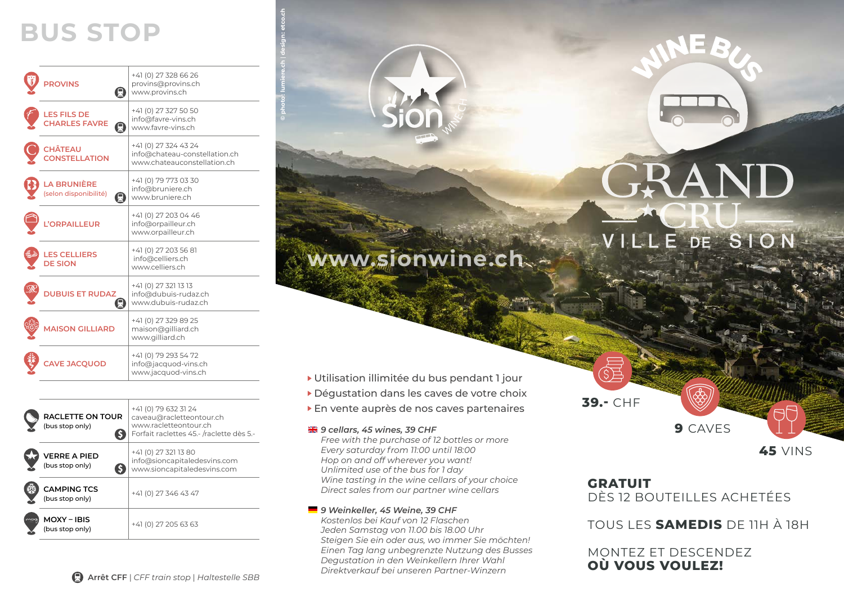# **BUS STOP**

| <b>PROVINS</b><br>E                              | +41 (0) 27 328 66 26<br>provins@provins.ch<br>www.provins.ch                         |
|--------------------------------------------------|--------------------------------------------------------------------------------------|
| LES FILS DE<br>CHARLES FAVRE<br>圓                | +41 (0) 27 327 50 50<br>info@favre-vins.ch<br>www.favre-vins.ch                      |
| <b>CHÂTEAU<br/>CONSTELLATION</b>                 | +41 (0) 27 324 43 24<br>info@chateau-constellation.ch<br>www.chateauconstellation.ch |
| <b>LA BRUNIÈRE</b><br>(selon disponibilité)<br>Ω | +41 (0) 79 773 03 30<br>info@bruniere.ch<br>www.bruniere.ch                          |
| L'ORPAILLEUR                                     | +41 (0) 27 203 04 46<br>info@orpailleur.ch<br>www.orpailleur.ch                      |
| LES CELLIERS<br>DE SION                          | +41 (0) 27 203 56 81<br>info@celliers.ch<br>www.celliers.ch                          |
| <b>DUBUIS ET RUDAZ</b>                           | +41 (0) 27 321 13 13<br>info@dubuis-rudaz.ch<br>www.dubuis-rudaz.ch                  |
| <b>MAISON GILLIARD</b>                           | +41 (0) 27 329 89 25<br>maison@gilliard.ch<br>www.gilliard.ch                        |
| AVE JACQUOD                                      | +41 (0) 79 293 54 72<br>info@jacquod-vins.ch<br>www.jacquod-vins.ch                  |
|                                                  |                                                                                      |

| <b>RACLETTE ON TOUR</b><br>(bus stop only) | +41 (0) 79 632 31 24<br>caveau@racletteontour.ch<br>www.racletteontour.ch<br>Forfait raclettes 45.- /raclette dès 5.- |
|--------------------------------------------|-----------------------------------------------------------------------------------------------------------------------|
| <b>VERRE A PIED</b><br>(bus stop only)     | +41 (0) 27 321 13 80<br>info@sioncapitaledesvins.com<br>www.sioncapitaledesvins.com                                   |
| <b>CAMPING TCS</b><br>(bus stop only)      | +41 (0) 27 346 43 47                                                                                                  |
| MOXY-IBIS<br>(bus stop only)               | +41 (0) 27 205 63 63                                                                                                  |

# **www.sionwine.ch**

- Utilisation illimitée du bus pendant 1 jour
- Dégustation dans les caves de votre choix
- En vente auprès de nos caves partenaires

### *9 cellars, 45 wines, 39 CHF*

 **© photo : lumiere.ch** | **design : etco.ch**

*Free with the purchase of 12 bottles or more Every saturday from 11:00 until 18:00 Hop on and off wherever you want! Unlimited use of the bus for 1 day Wine tasting in the wine cellars of your choice Direct sales from our partner wine cellars*

## *9 Weinkeller, 45 Weine, 39 CHF*

*Kostenlos bei Kauf von 12 Flaschen Jeden Samstag von 11.00 bis 18.00 Uhr Steigen Sie ein oder aus, wo immer Sie möchten! Einen Tag lang unbegrenzte Nutzung des Busses Degustation in den Weinkellern Ihrer Wahl Direktverkauf bei unseren Partner-Winzern*

# **FRAND**

# VILLE DE SION

**9** CAVES **39.-** CHF

**45** VINS

# **GRATUIT**

DÈS 12 BOUTEILLES ACHETÉES

TOUS LES **SAMEDIS** DE 11H À 18H

MONTEZ ET DESCENDEZ **OÙ VOUS VOULEZ!**